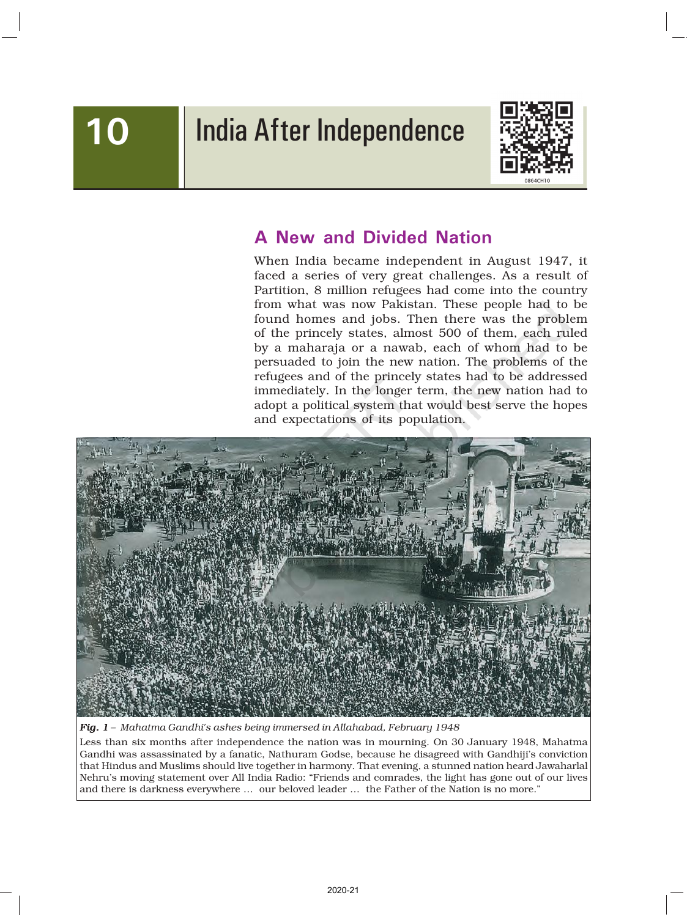# 10 | India After Independence



## A New and Divided Nation

When India became independent in August 1947, it faced a series of very great challenges. As a result of Partition, 8 million refugees had come into the country from what was now Pakistan. These people had to be found homes and jobs. Then there was the problem of the princely states, almost 500 of them, each ruled by a maharaja or a nawab, each of whom had to be persuaded to join the new nation. The problems of the refugees and of the princely states had to be addressed immediately. In the longer term, the new nation had to adopt a political system that would best serve the hopes and expectations of its population.



*Fig. 1 – Mahatma Gandhi's ashes being immersed in Allahabad, February 1948*

Less than six months after independence the nation was in mourning. On 30 January 1948, Mahatma Gandhi was assassinated by a fanatic, Nathuram Godse, because he disagreed with Gandhiji's conviction that Hindus and Muslims should live together in harmony. That evening, a stunned nation heard Jawaharlal Nehru's moving statement over All India Radio: "Friends and comrades, the light has gone out of our lives and there is darkness everywhere … our beloved leader … the Father of the Nation is no more."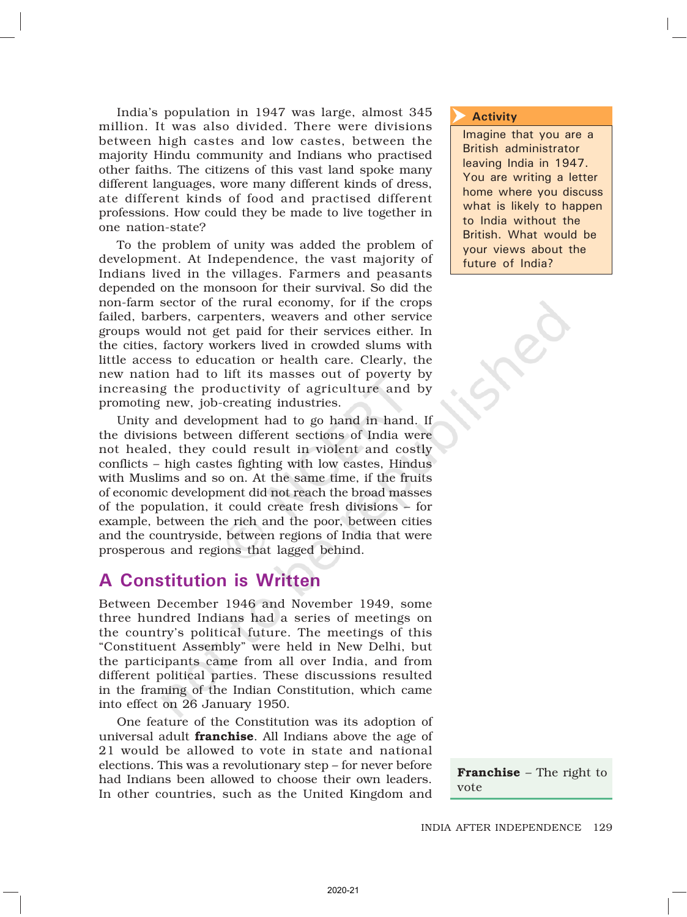India's population in 1947 was large, almost 345 million. It was also divided. There were divisions between high castes and low castes, between the majority Hindu community and Indians who practised other faiths. The citizens of this vast land spoke many different languages, wore many different kinds of dress, ate different kinds of food and practised different professions. How could they be made to live together in one nation-state?

To the problem of unity was added the problem of development. At Independence, the vast majority of Indians lived in the villages. Farmers and peasants depended on the monsoon for their survival. So did the non-farm sector of the rural economy, for if the crops failed, barbers, carpenters, weavers and other service groups would not get paid for their services either. In the cities, factory workers lived in crowded slums with little access to education or health care. Clearly, the new nation had to lift its masses out of poverty by increasing the productivity of agriculture and by promoting new, job-creating industries.

Unity and development had to go hand in hand. If the divisions between different sections of India were not healed, they could result in violent and costly conflicts – high castes fighting with low castes, Hindus with Muslims and so on. At the same time, if the fruits of economic development did not reach the broad masses of the population, it could create fresh divisions – for example, between the rich and the poor, between cities and the countryside, between regions of India that were prosperous and regions that lagged behind.

### A Constitution is Written

Between December 1946 and November 1949, some three hundred Indians had a series of meetings on the country's political future. The meetings of this "Constituent Assembly" were held in New Delhi, but the participants came from all over India, and from different political parties. These discussions resulted in the framing of the Indian Constitution, which came into effect on 26 January 1950.

One feature of the Constitution was its adoption of universal adult **franchise**. All Indians above the age of 21 would be allowed to vote in state and national elections. This was a revolutionary step – for never before had Indians been allowed to choose their own leaders. In other countries, such as the United Kingdom and

#### Activity  $\overline{\blacktriangleright}$

Imagine that you are a British administrator leaving India in 1947. You are writing a letter home where you discuss what is likely to happen to India without the British. What would be your views about the future of India?

Franchise – The right to vote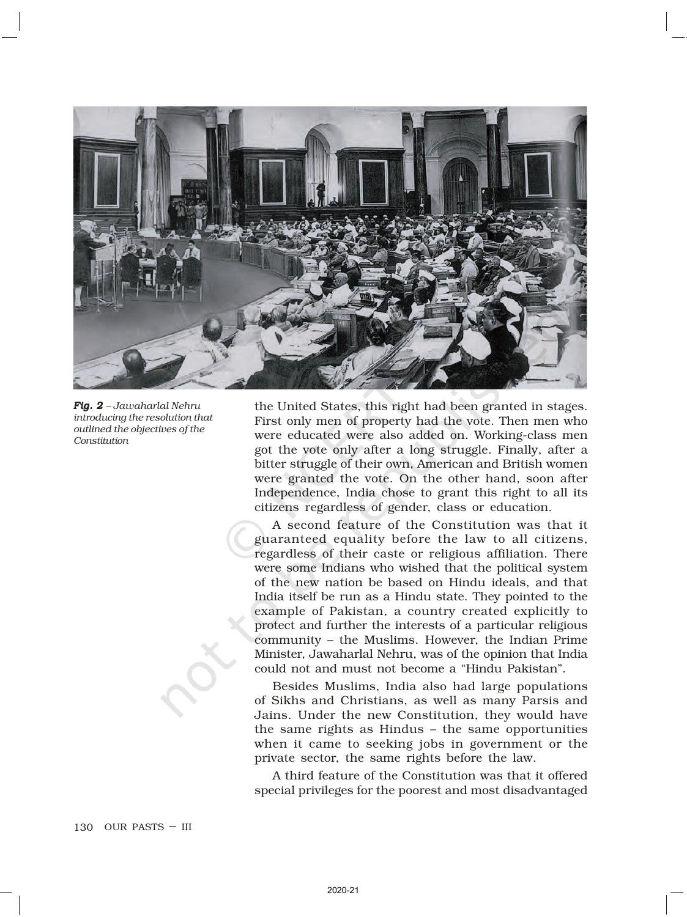

*Fig. 2 – Jawaharlal Nehru introducing the resolution that outlined the objectives of the Constitution*

the United States, this right had been granted in stages. First only men of property had the vote. Then men who were educated were also added on. Working-class men got the vote only after a long struggle. Finally, after a bitter struggle of their own, American and British women were granted the vote. On the other hand, soon after Independence, India chose to grant this right to all its citizens regardless of gender, class or education.

A second feature of the Constitution was that it guaranteed equality before the law to all citizens, regardless of their caste or religious affiliation. There were some Indians who wished that the political system of the new nation be based on Hindu ideals, and that India itself be run as a Hindu state. They pointed to the example of Pakistan, a country created explicitly to protect and further the interests of a particular religious community – the Muslims. However, the Indian Prime Minister, Jawaharlal Nehru, was of the opinion that India could not and must not become a "Hindu Pakistan".

Besides Muslims, India also had large populations of Sikhs and Christians, as well as many Parsis and Jains. Under the new Constitution, they would have the same rights as Hindus – the same opportunities when it came to seeking jobs in government or the private sector, the same rights before the law.

A third feature of the Constitution was that it offered special privileges for the poorest and most disadvantaged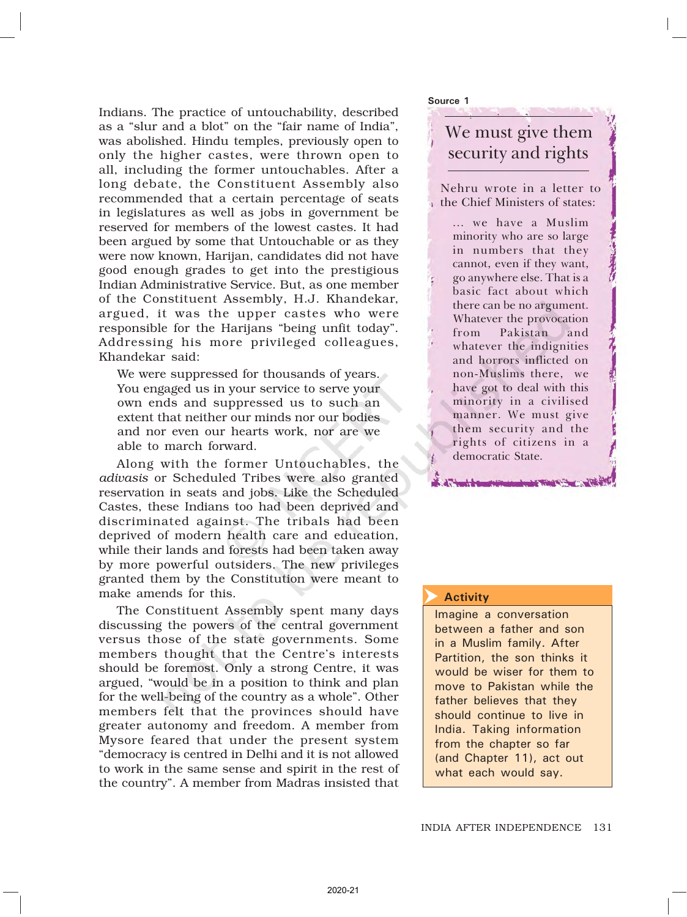Indians. The practice of untouchability, described as a "slur and a blot" on the "fair name of India", was abolished. Hindu temples, previously open to only the higher castes, were thrown open to all, including the former untouchables. After a long debate, the Constituent Assembly also recommended that a certain percentage of seats in legislatures as well as jobs in government be reserved for members of the lowest castes. It had been argued by some that Untouchable or as they were now known, Harijan, candidates did not have good enough grades to get into the prestigious Indian Administrative Service. But, as one member of the Constituent Assembly, H.J. Khandekar, argued, it was the upper castes who were responsible for the Harijans "being unfit today". Addressing his more privileged colleagues, Khandekar said:

We were suppressed for thousands of years. You engaged us in your service to serve your own ends and suppressed us to such an extent that neither our minds nor our bodies and nor even our hearts work, nor are we able to march forward.

Along with the former Untouchables, the *adivasis* or Scheduled Tribes were also granted reservation in seats and jobs. Like the Scheduled Castes, these Indians too had been deprived and discriminated against. The tribals had been deprived of modern health care and education, while their lands and forests had been taken away by more powerful outsiders. The new privileges granted them by the Constitution were meant to make amends for this.

The Constituent Assembly spent many days discussing the powers of the central government versus those of the state governments. Some members thought that the Centre's interests should be foremost. Only a strong Centre, it was argued, "would be in a position to think and plan for the well-being of the country as a whole". Other members felt that the provinces should have greater autonomy and freedom. A member from Mysore feared that under the present system "democracy is centred in Delhi and it is not allowed to work in the same sense and spirit in the rest of the country". A member from Madras insisted that

Source 1

### We must give them security and rights

Nehru wrote in a letter to the Chief Ministers of states:

> ... we have a Muslim minority who are so large in numbers that they cannot, even if they want, go anywhere else. That is a basic fact about which there can be no argument. Whatever the provocation from Pakistan and whatever the indignities and horrors inflicted on non-Muslims there, we have got to deal with this minority in a civilised manner. We must give them security and the rights of citizens in a democratic State.

#### **Activity**  $\blacktriangleright$

Imagine a conversation between a father and son in a Muslim family. After Partition, the son thinks it would be wiser for them to move to Pakistan while the father believes that they should continue to live in India. Taking information from the chapter so far (and Chapter 11), act out what each would say.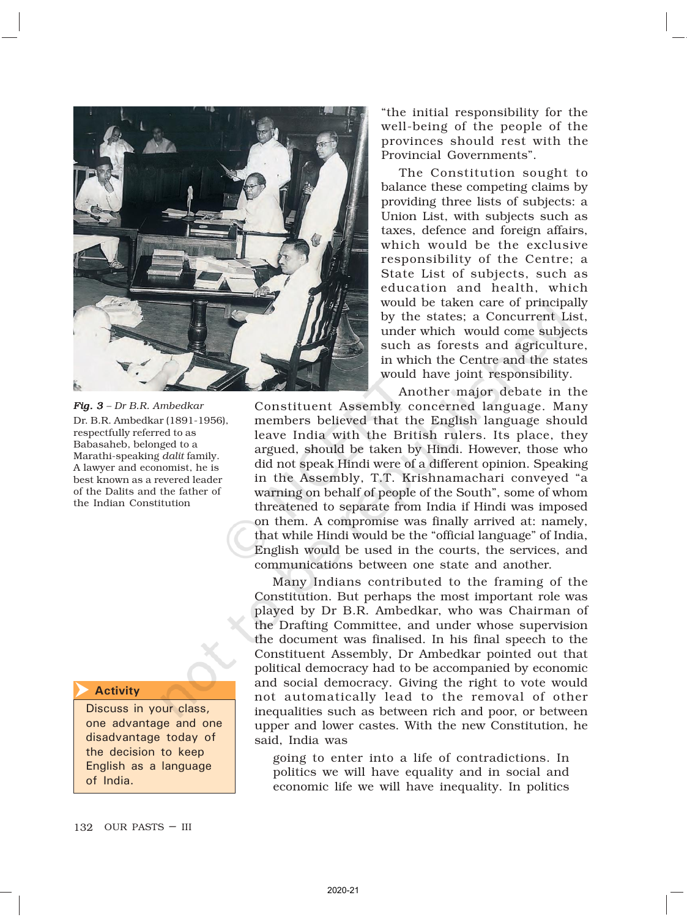

*Fig. 3 – Dr B.R. Ambedkar* Dr. B.R. Ambedkar (1891-1956), respectfully referred to as Babasaheb, belonged to a Marathi-speaking *dalit* family. A lawyer and economist, he is best known as a revered leader of the Dalits and the father of the Indian Constitution

**Activity**  $\overline{\blacktriangleright}$ 

> Discuss in your class, one advantage and one disadvantage today of the decision to keep English as a language of India.

"the initial responsibility for the well-being of the people of the provinces should rest with the Provincial Governments".

The Constitution sought to balance these competing claims by providing three lists of subjects: a Union List, with subjects such as taxes, defence and foreign affairs, which would be the exclusive responsibility of the Centre; a State List of subjects, such as education and health, which would be taken care of principally by the states; a Concurrent List, under which would come subjects such as forests and agriculture, in which the Centre and the states would have joint responsibility.

Another major debate in the

Constituent Assembly concerned language. Many members believed that the English language should leave India with the British rulers. Its place, they argued, should be taken by Hindi. However, those who did not speak Hindi were of a different opinion. Speaking in the Assembly, T.T. Krishnamachari conveyed "a warning on behalf of people of the South", some of whom threatened to separate from India if Hindi was imposed on them. A compromise was finally arrived at: namely, that while Hindi would be the "official language" of India, English would be used in the courts, the services, and communications between one state and another.

Many Indians contributed to the framing of the Constitution. But perhaps the most important role was played by Dr B.R. Ambedkar, who was Chairman of the Drafting Committee, and under whose supervision the document was finalised. In his final speech to the Constituent Assembly, Dr Ambedkar pointed out that political democracy had to be accompanied by economic and social democracy. Giving the right to vote would not automatically lead to the removal of other inequalities such as between rich and poor, or between upper and lower castes. With the new Constitution, he said, India was

going to enter into a life of contradictions. In politics we will have equality and in social and economic life we will have inequality. In politics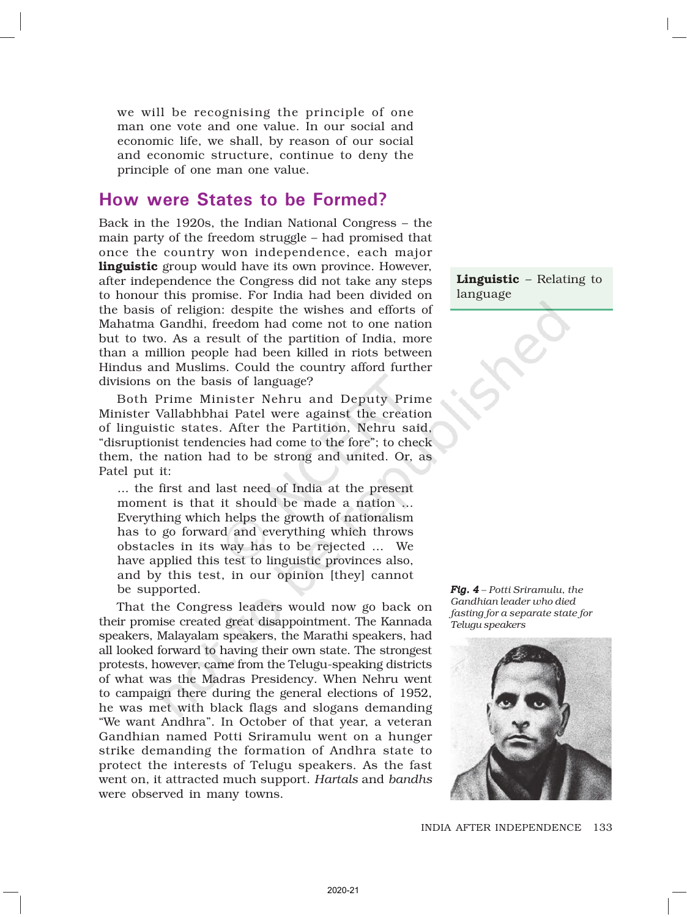we will be recognising the principle of one man one vote and one value. In our social and economic life, we shall, by reason of our social and economic structure, continue to deny the principle of one man one value.

### How were States to be Formed?

Back in the 1920s, the Indian National Congress – the main party of the freedom struggle – had promised that once the country won independence, each major linguistic group would have its own province. However, after independence the Congress did not take any steps to honour this promise. For India had been divided on the basis of religion: despite the wishes and efforts of Mahatma Gandhi, freedom had come not to one nation but to two. As a result of the partition of India, more than a million people had been killed in riots between Hindus and Muslims. Could the country afford further divisions on the basis of language?

Both Prime Minister Nehru and Deputy Prime Minister Vallabhbhai Patel were against the creation of linguistic states. After the Partition, Nehru said, "disruptionist tendencies had come to the fore"; to check them, the nation had to be strong and united. Or, as Patel put it:

... the first and last need of India at the present moment is that it should be made a nation … Everything which helps the growth of nationalism has to go forward and everything which throws obstacles in its way has to be rejected … We have applied this test to linguistic provinces also, and by this test, in our opinion [they] cannot be supported.

That the Congress leaders would now go back on their promise created great disappointment. The Kannada speakers, Malayalam speakers, the Marathi speakers, had all looked forward to having their own state. The strongest protests, however, came from the Telugu-speaking districts of what was the Madras Presidency. When Nehru went to campaign there during the general elections of 1952, he was met with black flags and slogans demanding "We want Andhra". In October of that year, a veteran Gandhian named Potti Sriramulu went on a hunger strike demanding the formation of Andhra state to protect the interests of Telugu speakers. As the fast went on, it attracted much support. *Hartals* and *bandhs* were observed in many towns.

Linguistic - Relating to language

*Fig. 4 – Potti Sriramulu, the Gandhian leader who died fasting for a separate state for Telugu speakers*



133 INDIA AFTER INDEPENDENCE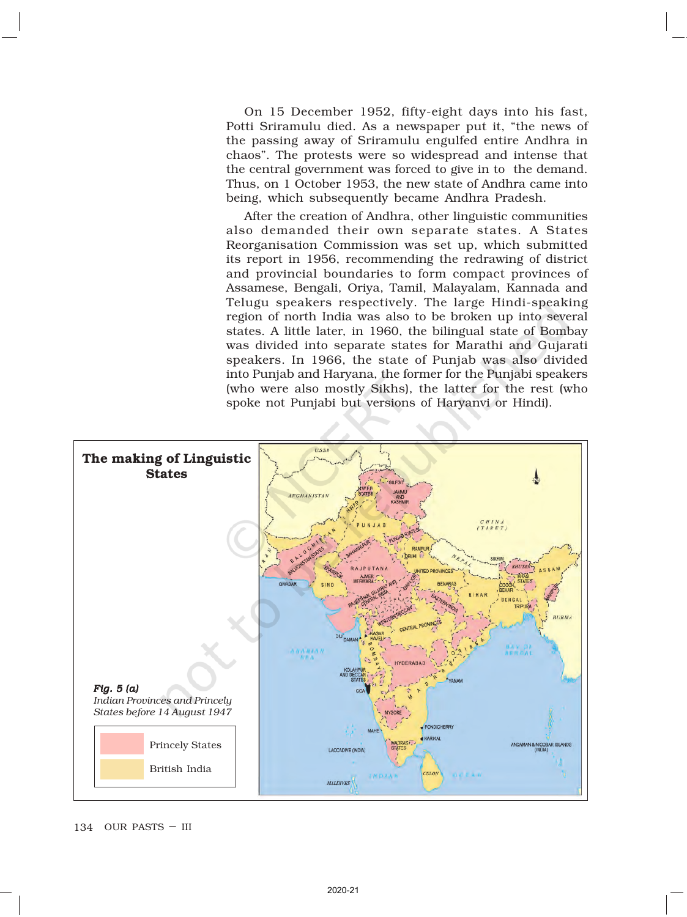On 15 December 1952, fifty-eight days into his fast, Potti Sriramulu died. As a newspaper put it, "the news of the passing away of Sriramulu engulfed entire Andhra in chaos". The protests were so widespread and intense that the central government was forced to give in to the demand. Thus, on 1 October 1953, the new state of Andhra came into being, which subsequently became Andhra Pradesh.

After the creation of Andhra, other linguistic communities also demanded their own separate states. A States Reorganisation Commission was set up, which submitted its report in 1956, recommending the redrawing of district and provincial boundaries to form compact provinces of Assamese, Bengali, Oriya, Tamil, Malayalam, Kannada and Telugu speakers respectively. The large Hindi-speaking region of north India was also to be broken up into several states. A little later, in 1960, the bilingual state of Bombay was divided into separate states for Marathi and Gujarati speakers. In 1966, the state of Punjab was also divided into Punjab and Haryana, the former for the Punjabi speakers (who were also mostly Sikhs), the latter for the rest (who spoke not Punjabi but versions of Haryanvi or Hindi).

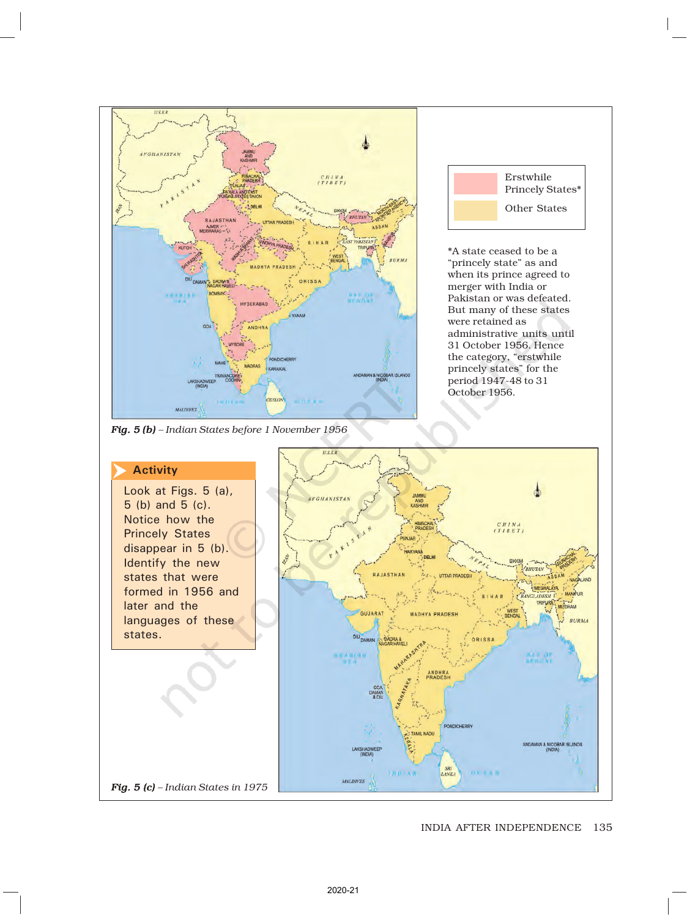

#### INDIA AFTER INDEPENDENCE 135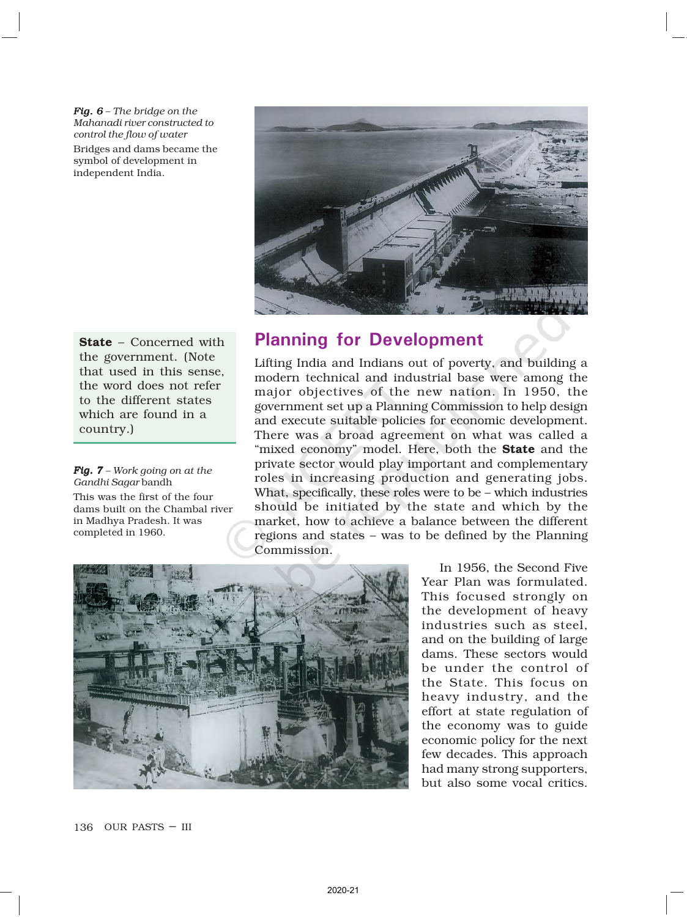*Fig. 6 – The bridge on the Mahanadi river constructed to control the flow of water*

Bridges and dams became the symbol of development in independent India.



State – Concerned with the government. (Note that used in this sense, the word does not refer to the different states which are found in a country.)

*Fig. 7 – Work going on at the Gandhi Sagar* bandh This was the first of the four dams built on the Chambal river in Madhya Pradesh. It was completed in 1960.

### Planning for Development

Lifting India and Indians out of poverty, and building a modern technical and industrial base were among the major objectives of the new nation. In 1950, the government set up a Planning Commission to help design and execute suitable policies for economic development. There was a broad agreement on what was called a "mixed economy" model. Here, both the **State** and the private sector would play important and complementary roles in increasing production and generating jobs. What, specifically, these roles were to be – which industries should be initiated by the state and which by the market, how to achieve a balance between the different regions and states – was to be defined by the Planning Commission.



In 1956, the Second Five Year Plan was formulated. This focused strongly on the development of heavy industries such as steel, and on the building of large dams. These sectors would be under the control of the State. This focus on heavy industry, and the effort at state regulation of the economy was to guide economic policy for the next few decades. This approach had many strong supporters, but also some vocal critics.

136 OUR PASTS – III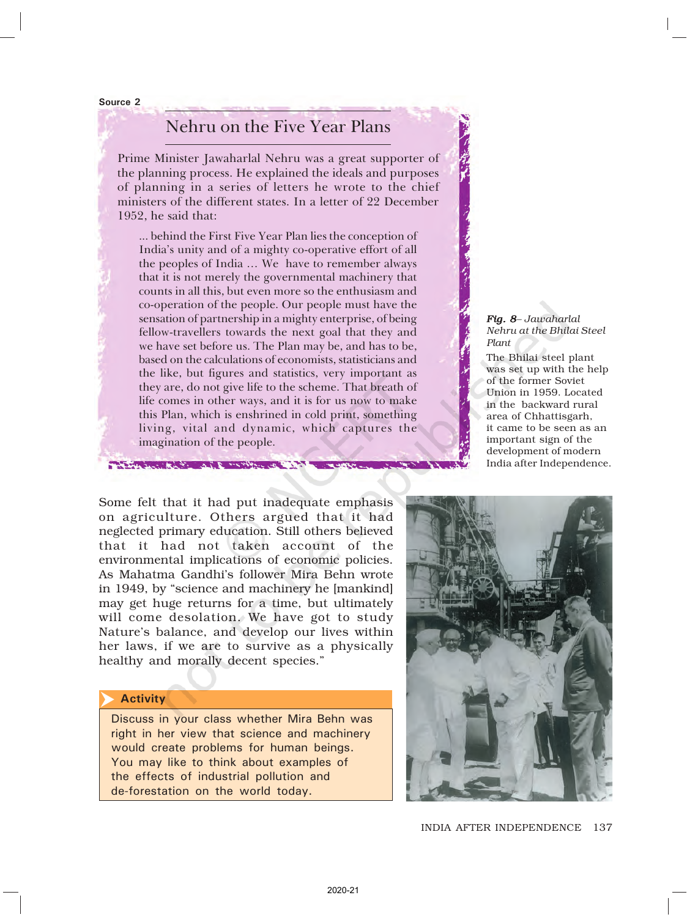Source 2

### Nehru on the Five Year Plans

Prime Minister Jawaharlal Nehru was a great supporter of the planning process. He explained the ideals and purposes of planning in a series of letters he wrote to the chief ministers of the different states. In a letter of 22 December 1952, he said that:

... behind the First Five Year Plan lies the conception of India's unity and of a mighty co-operative effort of all the peoples of India … We have to remember always that it is not merely the governmental machinery that counts in all this, but even more so the enthusiasm and co-operation of the people. Our people must have the sensation of partnership in a mighty enterprise, of being fellow-travellers towards the next goal that they and we have set before us. The Plan may be, and has to be, based on the calculations of economists, statisticians and the like, but figures and statistics, very important as they are, do not give life to the scheme. That breath of life comes in other ways, and it is for us now to make this Plan, which is enshrined in cold print, something living, vital and dynamic, which captures the imagination of the people.

#### *Fig. 8– Jawaharlal Nehru at the Bhilai Steel Plant*

The Bhilai steel plant was set up with the help of the former Soviet Union in 1959. Located in the backward rural area of Chhattisgarh, it came to be seen as an important sign of the development of modern India after Independence.

Some felt that it had put inadequate emphasis on agriculture. Others argued that it had neglected primary education. Still others believed that it had not taken account of the environmental implications of economic policies. As Mahatma Gandhi's follower Mira Behn wrote in 1949, by "science and machinery he [mankind] may get huge returns for a time, but ultimately will come desolation. We have got to study Nature's balance, and develop our lives within her laws, if we are to survive as a physically healthy and morally decent species."

and the first way to configurate the

#### **Activity**  $\overline{\blacktriangleright}$

Discuss in your class whether Mira Behn was right in her view that science and machinery would create problems for human beings. You may like to think about examples of the effects of industrial pollution and de-forestation on the world today.



137 INDIA AFTER INDEPENDENCE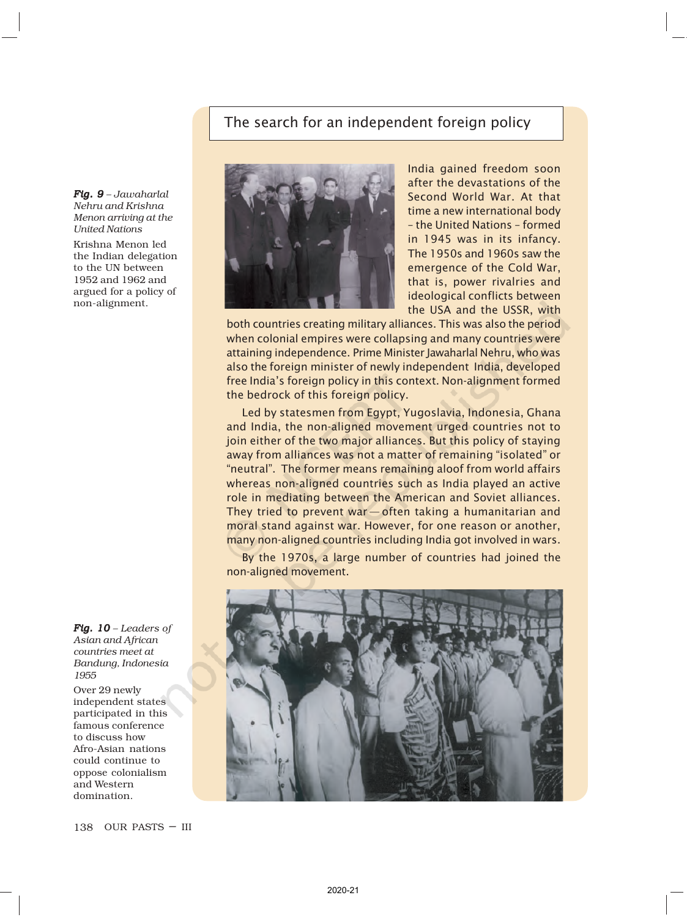### The search for an independent foreign policy

*Fig. 9 – Jawaharlal Nehru and Krishna Menon arriving at the United Nations* Krishna Menon led the Indian delegation to the UN between 1952 and 1962 and argued for a policy of non-alignment.



Over 29 newly independent states participated in this famous conference to discuss how Afro-Asian nations could continue to oppose colonialism and Western domination.



India gained freedom soon after the devastations of the Second World War. At that time a new international body – the United Nations – formed in 1945 was in its infancy. The 1950s and 1960s saw the emergence of the Cold War, that is, power rivalries and ideological conflicts between the USA and the USSR, with

both countries creating military alliances. This was also the period when colonial empires were collapsing and many countries were attaining independence. Prime Minister Jawaharlal Nehru, who was also the foreign minister of newly independent India, developed free India's foreign policy in this context. Non-alignment formed the bedrock of this foreign policy.

Led by statesmen from Egypt, Yugoslavia, Indonesia, Ghana and India, the non-aligned movement urged countries not to join either of the two major alliances. But this policy of staying away from alliances was not a matter of remaining "isolated" or "neutral". The former means remaining aloof from world affairs whereas non-aligned countries such as India played an active role in mediating between the American and Soviet alliances. They tried to prevent war - often taking a humanitarian and moral stand against war. However, for one reason or another, many non-aligned countries including India got involved in wars.

By the 1970s, a large number of countries had joined the non-aligned movement.

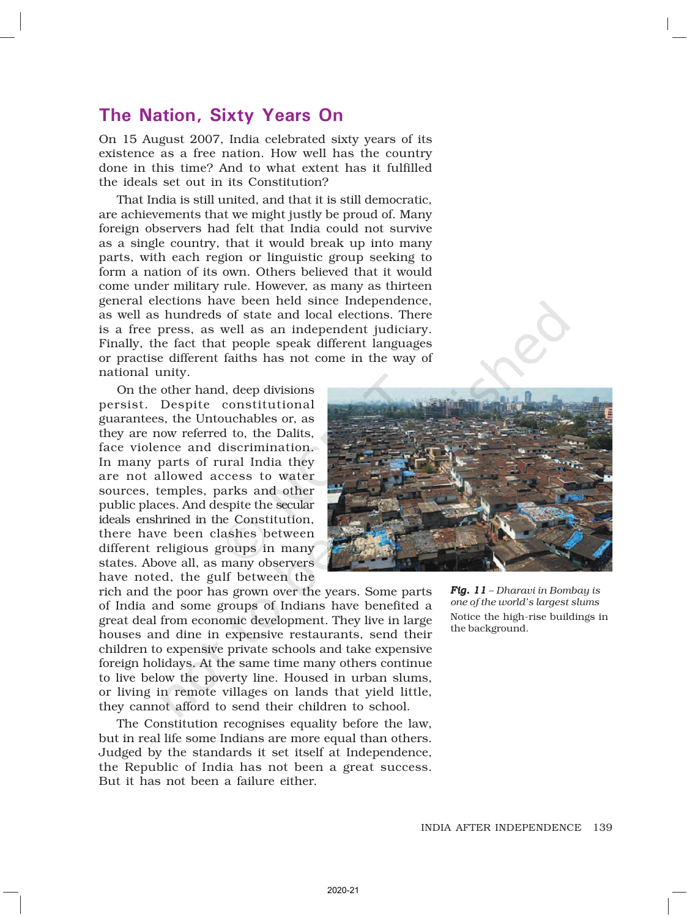### The Nation, Sixty Years On

On 15 August 2007, India celebrated sixty years of its existence as a free nation. How well has the country done in this time? And to what extent has it fulfilled the ideals set out in its Constitution?

That India is still united, and that it is still democratic, are achievements that we might justly be proud of. Many foreign observers had felt that India could not survive as a single country, that it would break up into many parts, with each region or linguistic group seeking to form a nation of its own. Others believed that it would come under military rule. However, as many as thirteen general elections have been held since Independence, as well as hundreds of state and local elections. There is a free press, as well as an independent judiciary. Finally, the fact that people speak different languages or practise different faiths has not come in the way of national unity.

On the other hand, deep divisions persist. Despite constitutional guarantees, the Untouchables or, as they are now referred to, the Dalits, face violence and discrimination. In many parts of rural India they are not allowed access to water sources, temples, parks and other public places. And despite the secular ideals enshrined in the Constitution, there have been clashes between different religious groups in many states. Above all, as many observers have noted, the gulf between the



rich and the poor has grown over the years. Some parts of India and some groups of Indians have benefited a great deal from economic development. They live in large houses and dine in expensive restaurants, send their children to expensive private schools and take expensive foreign holidays. At the same time many others continue to live below the poverty line. Housed in urban slums, or living in remote villages on lands that yield little, they cannot afford to send their children to school.

The Constitution recognises equality before the law, but in real life some Indians are more equal than others. Judged by the standards it set itself at Independence, the Republic of India has not been a great success. But it has not been a failure either.

*Fig. 11 11 – Dharavi in Bombay is one of the world's largest slums* Notice the high-rise buildings in the background.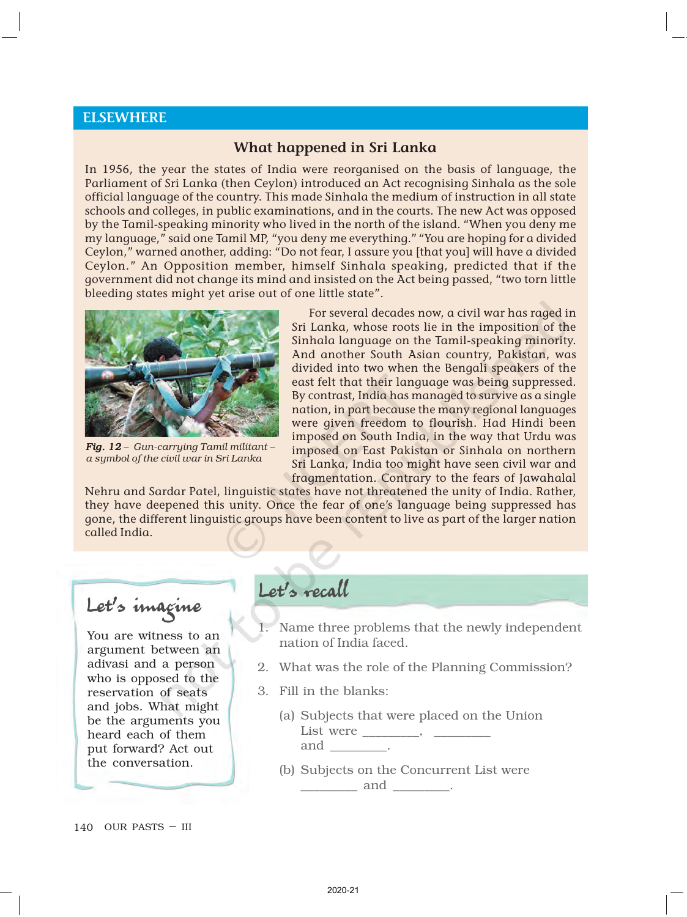### ELSEWHERE

### What happened in Sri Lanka

In 1956, the year the states of India were reorganised on the basis of language, the Parliament of Sri Lanka (then Ceylon) introduced an Act recognising Sinhala as the sole official language of the country. This made Sinhala the medium of instruction in all state schools and colleges, in public examinations, and in the courts. The new Act was opposed by the Tamil-speaking minority who lived in the north of the island. "When you deny me my language," said one Tamil MP, "you deny me everything." "You are hoping for a divided Ceylon," warned another, adding: "Do not fear, I assure you [that you] will have a divided Ceylon." An Opposition member, himself Sinhala speaking, predicted that if the government did not change its mind and insisted on the Act being passed, "two torn little bleeding states might yet arise out of one little state".



*Fig. 12 Fig. – Gun-carrying Tamil militant – a symbol of the civil war in Sri Lanka*

For several decades now, a civil war has raged in Sri Lanka, whose roots lie in the imposition of the Sinhala language on the Tamil-speaking minority. And another South Asian country, Pakistan, was divided into two when the Bengali speakers of the east felt that their language was being suppressed. By contrast, India has managed to survive as a single nation, in part because the many regional languages were given freedom to flourish. Had Hindi been imposed on South India, in the way that Urdu was imposed on East Pakistan or Sinhala on northern Sri Lanka, India too might have seen civil war and fragmentation. Contrary to the fears of Jawahalal

Nehru and Sardar Patel, linguistic states have not threatened the unity of India. Rather, they have deepened this unity. Once the fear of one's language being suppressed has gone, the different linguistic groups have been content to live as part of the larger nation called India.

Let's imagine

You are witness to an argument between an adivasi and a person who is opposed to the reservation of seats and jobs. What might be the arguments you heard each of them put forward? Act out the conversation.

# Let's recall

- Name three problems that the newly independent nation of India faced.
- 2. What was the role of the Planning Commission?
- 3. Fill in the blanks:
	- (a) Subjects that were placed on the Union List were \_\_\_\_\_\_\_\_, \_\_\_\_\_\_\_\_\_\_ and \_\_\_\_\_\_\_\_\_.
	- (b) Subjects on the Concurrent List were \_\_\_\_\_\_\_\_\_ and \_\_\_\_\_\_\_\_\_.

140 OUR PASTS – III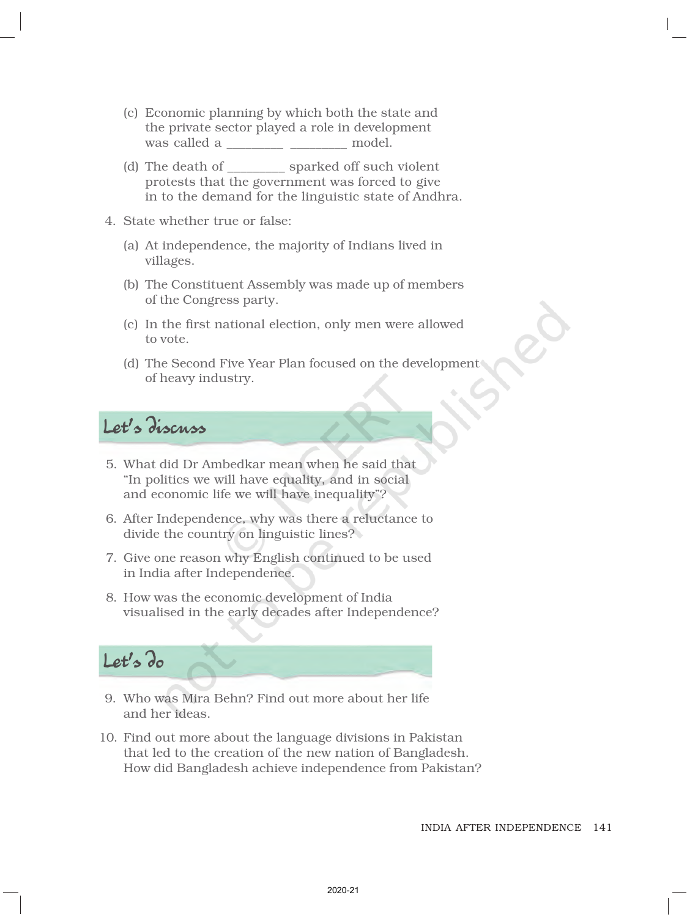- (c) Economic planning by which both the state and the private sector played a role in development was called a \_\_\_\_\_\_\_\_ model.
- (d) The death of sparked off such violent protests that the government was forced to give in to the demand for the linguistic state of Andhra.
- 4. State whether true or false:
	- (a) At independence, the majority of Indians lived in villages.
	- (b) The Constituent Assembly was made up of members of the Congress party.
	- (c) In the first national election, only men were allowed to vote.
	- (d) The Second Five Year Plan focused on the development of heavy industry.

# Let's discuss

- 5. What did Dr Ambedkar mean when he said that "In politics we will have equality, and in social and economic life we will have inequality"?
- 6. After Independence, why was there a reluctance to divide the country on linguistic lines?
- 7. Give one reason why English continued to be used in India after Independence.
- 8. How was the economic development of India visualised in the early decades after Independence?

# Let's do

- 9. Who was Mira Behn? Find out more about her life and her ideas.
- 10. Find out more about the language divisions in Pakistan that led to the creation of the new nation of Bangladesh. How did Bangladesh achieve independence from Pakistan?